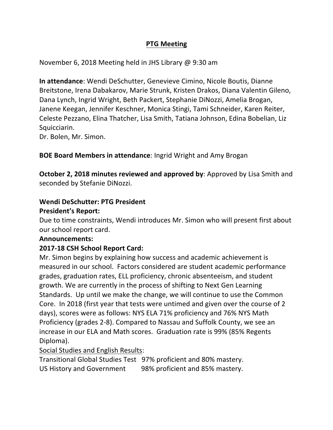# **PTG Meeting**

November 6, 2018 Meeting held in JHS Library @ 9:30 am

**In attendance:** Wendi DeSchutter, Genevieve Cimino, Nicole Boutis, Dianne Breitstone, Irena Dabakarov, Marie Strunk, Kristen Drakos, Diana Valentin Gileno, Dana Lynch, Ingrid Wright, Beth Packert, Stephanie DiNozzi, Amelia Brogan, Janene Keegan, Jennifer Keschner, Monica Stingi, Tami Schneider, Karen Reiter, Celeste Pezzano, Elina Thatcher, Lisa Smith, Tatiana Johnson, Edina Bobelian, Liz Squicciarin. 

Dr. Bolen, Mr. Simon.

## **BOE Board Members in attendance:** Ingrid Wright and Amy Brogan

**October 2, 2018 minutes reviewed and approved by:** Approved by Lisa Smith and seconded by Stefanie DiNozzi.

# **Wendi DeSchutter: PTG President**

#### **President's Report:**

Due to time constraints, Wendi introduces Mr. Simon who will present first about our school report card.

## **Announcements:**

## **2017-18 CSH School Report Card:**

Mr. Simon begins by explaining how success and academic achievement is measured in our school. Factors considered are student academic performance grades, graduation rates, ELL proficiency, chronic absenteeism, and student growth. We are currently in the process of shifting to Next Gen Learning Standards. Up until we make the change, we will continue to use the Common Core. In 2018 (first year that tests were untimed and given over the course of 2 days), scores were as follows: NYS ELA 71% proficiency and 76% NYS Math Proficiency (grades 2-8). Compared to Nassau and Suffolk County, we see an increase in our ELA and Math scores. Graduation rate is 99% (85% Regents Diploma).

## Social Studies and English Results:

Transitional Global Studies Test 97% proficient and 80% mastery. US History and Government 98% proficient and 85% mastery.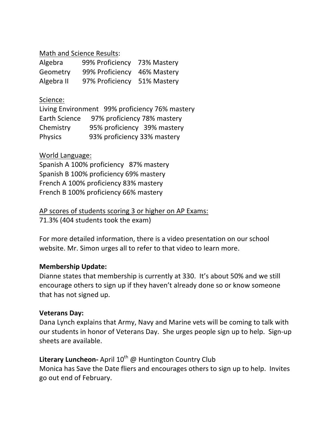Math and Science Results:

| Algebra    | 99% Proficiency             | 73% Mastery |
|------------|-----------------------------|-------------|
| Geometry   | 99% Proficiency 46% Mastery |             |
| Algebra II | 97% Proficiency 51% Mastery |             |

# Science:

Living Environment 99% proficiency 76% mastery Earth Science 97% proficiency 78% mastery Chemistry 95% proficiency 39% mastery Physics 93% proficiency 33% mastery

# World Language:

Spanish A 100% proficiency 87% mastery Spanish B 100% proficiency 69% mastery French A 100% proficiency 83% mastery French B 100% proficiency 66% mastery

AP scores of students scoring 3 or higher on AP Exams: 71.3% (404 students took the exam)

For more detailed information, there is a video presentation on our school website. Mr. Simon urges all to refer to that video to learn more.

## **Membership Update:**

Dianne states that membership is currently at 330. It's about 50% and we still encourage others to sign up if they haven't already done so or know someone that has not signed up.

## **Veterans Day:**

Dana Lynch explains that Army, Navy and Marine vets will be coming to talk with our students in honor of Veterans Day. She urges people sign up to help. Sign-up sheets are available.

# Literary Luncheon- April 10<sup>th</sup> @ Huntington Country Club

Monica has Save the Date fliers and encourages others to sign up to help. Invites go out end of February.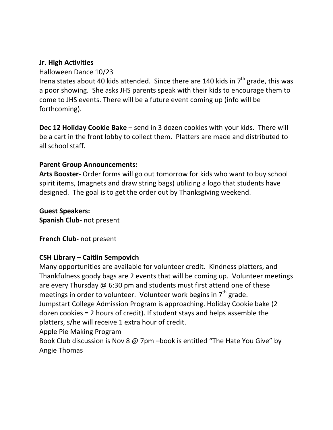## **Jr. High Activities**

#### Halloween Dance 10/23

Irena states about 40 kids attended. Since there are 140 kids in  $7<sup>th</sup>$  grade, this was a poor showing. She asks JHS parents speak with their kids to encourage them to come to JHS events. There will be a future event coming up (info will be forthcoming). 

**Dec 12 Holiday Cookie Bake** – send in 3 dozen cookies with your kids. There will be a cart in the front lobby to collect them. Platters are made and distributed to all school staff.

#### **Parent Group Announcements:**

**Arts Booster-** Order forms will go out tomorrow for kids who want to buy school spirit items, (magnets and draw string bags) utilizing a logo that students have designed. The goal is to get the order out by Thanksgiving weekend.

**Guest Speakers: Spanish Club-** not present

**French Club-** not present

#### **CSH Library – Caitlin Sempovich**

Many opportunities are available for volunteer credit. Kindness platters, and Thankfulness goody bags are 2 events that will be coming up. Volunteer meetings are every Thursday  $\omega$  6:30 pm and students must first attend one of these meetings in order to volunteer. Volunteer work begins in  $7<sup>th</sup>$  grade. Jumpstart College Admission Program is approaching. Holiday Cookie bake (2) dozen cookies  $= 2$  hours of credit). If student stays and helps assemble the platters, s/he will receive 1 extra hour of credit. Apple Pie Making Program Book Club discussion is Nov 8  $\omega$  7pm –book is entitled "The Hate You Give" by

Angie Thomas